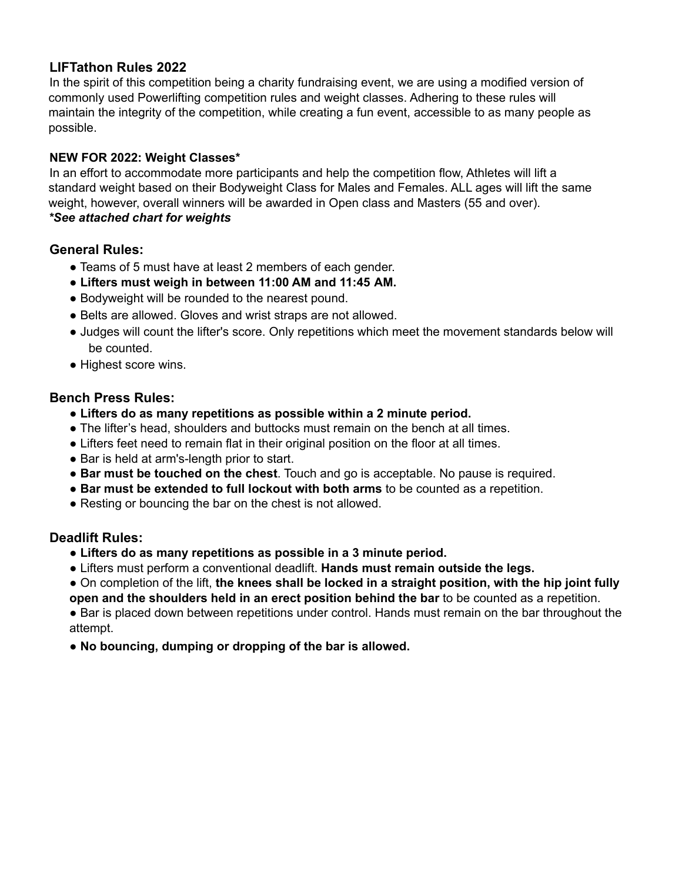# **LIFTathon Rules 2022**

In the spirit of this competition being a charity fundraising event, we are using a modified version of commonly used Powerlifting competition rules and weight classes. Adhering to these rules will maintain the integrity of the competition, while creating a fun event, accessible to as many people as possible.

#### **NEW FOR 2022: Weight Classes\***

In an effort to accommodate more participants and help the competition flow, Athletes will lift a standard weight based on their Bodyweight Class for Males and Females. ALL ages will lift the same weight, however, overall winners will be awarded in Open class and Masters (55 and over). *\*See attached chart for weights*

## **General Rules:**

- Teams of 5 must have at least 2 members of each gender.
- **Lifters must weigh in between 11:00 AM and 11:45 AM.**
- Bodyweight will be rounded to the nearest pound.
- Belts are allowed. Gloves and wrist straps are not allowed.
- Judges will count the lifter's score. Only repetitions which meet the movement standards below will be counted.
- Highest score wins.

#### **Bench Press Rules:**

- **● Lifters do as many repetitions as possible within a 2 minute period.**
- The lifter's head, shoulders and buttocks must remain on the bench at all times.
- Lifters feet need to remain flat in their original position on the floor at all times.
- Bar is held at arm's-length prior to start.
- **Bar must be touched on the chest**. Touch and go is acceptable. No pause is required.
- **Bar must be extended to full lockout with both arms** to be counted as a repetition.
- Resting or bouncing the bar on the chest is not allowed.

## **Deadlift Rules:**

- **● Lifters do as many repetitions as possible in a 3 minute period.**
- Lifters must perform a conventional deadlift. **Hands must remain outside the legs.**
- On completion of the lift, **the knees shall be locked in a straight position, with the hip joint fully open and the shoulders held in an erect position behind the bar** to be counted as a repetition.

● Bar is placed down between repetitions under control. Hands must remain on the bar throughout the attempt.

● **No bouncing, dumping or dropping of the bar is allowed.**